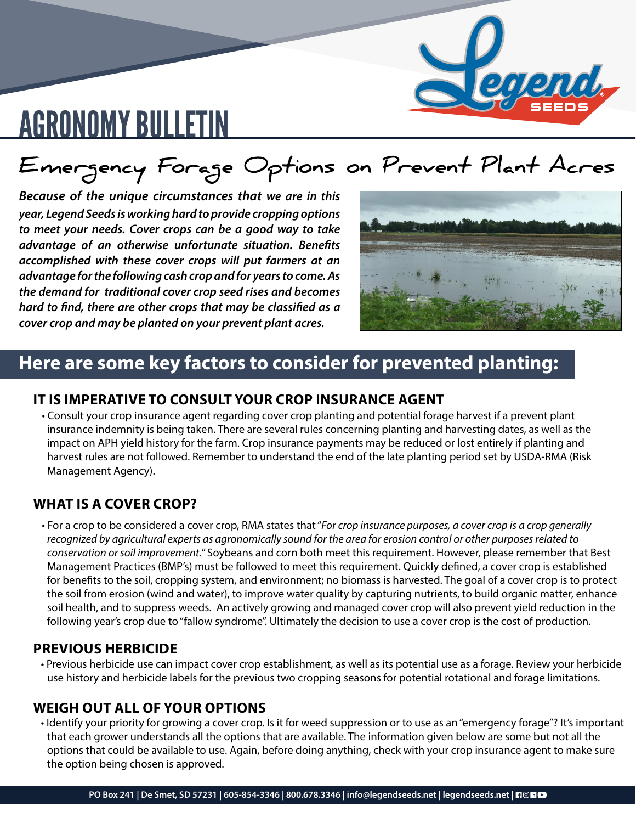

### **Emergency Forage Options on Prevent Plant Acres**

*Because of the unique circumstances that we are in this year, Legend Seeds is working hard to provide cropping options to meet your needs. Cover crops can be a good way to take advantage of an otherwise unfortunate situation. Benefits accomplished with these cover crops will put farmers at an advantage for the following cash crop and for years to come. As the demand for traditional cover crop seed rises and becomes hard to find, there are other crops that may be classified as a cover crop and may be planted on your prevent plant acres.*



### **Here are some key factors to consider for prevented planting:**

#### **IT IS IMPERATIVE TO CONSULT YOUR CROP INSURANCE AGENT**

• Consult your crop insurance agent regarding cover crop planting and potential forage harvest if a prevent plant insurance indemnity is being taken. There are several rules concerning planting and harvesting dates, as well as the impact on APH yield history for the farm. Crop insurance payments may be reduced or lost entirely if planting and harvest rules are not followed. Remember to understand the end of the late planting period set by USDA-RMA (Risk Management Agency).

#### **WHAT IS A COVER CROP?**

• For a crop to be considered a cover crop, RMA states that "*For crop insurance purposes, a cover crop is a crop generally recognized by agricultural experts as agronomically sound for the area for erosion control or other purposes related to conservation or soil improvement.*" Soybeans and corn both meet this requirement. However, please remember that Best Management Practices (BMP's) must be followed to meet this requirement. Quickly defined, a cover crop is established for benefits to the soil, cropping system, and environment; no biomass is harvested. The goal of a cover crop is to protect the soil from erosion (wind and water), to improve water quality by capturing nutrients, to build organic matter, enhance soil health, and to suppress weeds. An actively growing and managed cover crop will also prevent yield reduction in the following year's crop due to "fallow syndrome". Ultimately the decision to use a cover crop is the cost of production.

#### **PREVIOUS HERBICIDE**

• Previous herbicide use can impact cover crop establishment, as well as its potential use as a forage. Review your herbicide use history and herbicide labels for the previous two cropping seasons for potential rotational and forage limitations.

#### **WEIGH OUT ALL OF YOUR OPTIONS**

• Identify your priority for growing a cover crop. Is it for weed suppression or to use as an "emergency forage"? It's important that each grower understands all the options that are available. The information given below are some but not all the options that could be available to use. Again, before doing anything, check with your crop insurance agent to make sure the option being chosen is approved.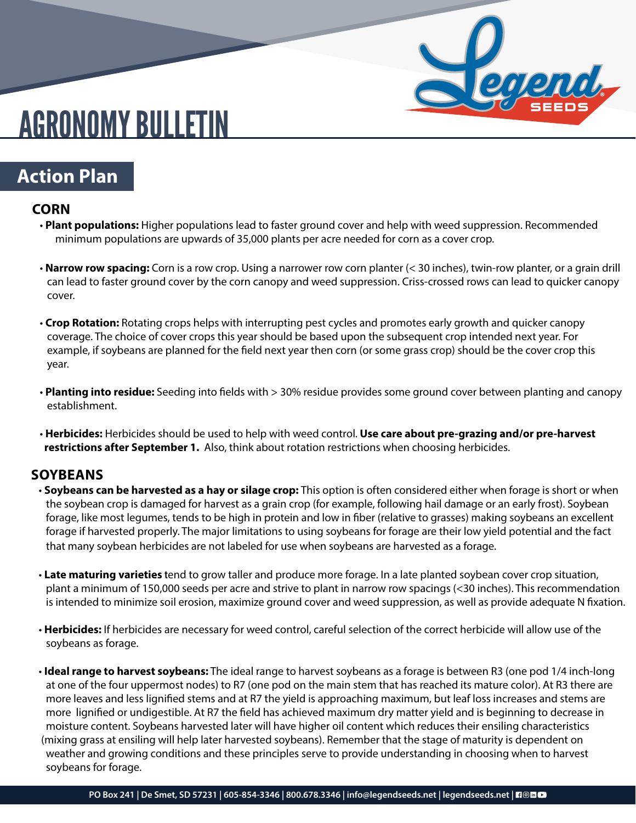

### **Action Plan**

#### **CORN**

- **Plant populations:** Higher populations lead to faster ground cover and help with weed suppression. Recommended minimum populations are upwards of 35,000 plants per acre needed for corn as a cover crop.
- **Narrow row spacing:** Corn is a row crop. Using a narrower row corn planter (< 30 inches), twin-row planter, or a grain drill can lead to faster ground cover by the corn canopy and weed suppression. Criss-crossed rows can lead to quicker canopy cover.
- **Crop Rotation:** Rotating crops helps with interrupting pest cycles and promotes early growth and quicker canopy coverage. The choice of cover crops this year should be based upon the subsequent crop intended next year. For example, if soybeans are planned for the field next year then corn (or some grass crop) should be the cover crop this year.
- **Planting into residue:** Seeding into fields with > 30% residue provides some ground cover between planting and canopy establishment.
- **Herbicides:** Herbicides should be used to help with weed control. **Use care about pre-grazing and/or pre-harvest restrictions after September 1.** Also, think about rotation restrictions when choosing herbicides.

#### **SOYBEANS**

- **Soybeans can be harvested as a hay or silage crop:** This option is often considered either when forage is short or when the soybean crop is damaged for harvest as a grain crop (for example, following hail damage or an early frost). Soybean forage, like most legumes, tends to be high in protein and low in fiber (relative to grasses) making soybeans an excellent forage if harvested properly. The major limitations to using soybeans for forage are their low yield potential and the fact that many soybean herbicides are not labeled for use when soybeans are harvested as a forage.
- **Late maturing varieties t**end to grow taller and produce more forage. In a late planted soybean cover crop situation, plant a minimum of 150,000 seeds per acre and strive to plant in narrow row spacings (<30 inches). This recommendation is intended to minimize soil erosion, maximize ground cover and weed suppression, as well as provide adequate N fixation.
- **Herbicides:** If herbicides are necessary for weed control, careful selection of the correct herbicide will allow use of the soybeans as forage.
- **Ideal range to harvest soybeans:** The ideal range to harvest soybeans as a forage is between R3 (one pod 1/4 inch-long at one of the four uppermost nodes) to R7 (one pod on the main stem that has reached its mature color). At R3 there are more leaves and less lignified stems and at R7 the yield is approaching maximum, but leaf loss increases and stems are more lignified or undigestible. At R7 the field has achieved maximum dry matter yield and is beginning to decrease in moisture content. Soybeans harvested later will have higher oil content which reduces their ensiling characteristics (mixing grass at ensiling will help later harvested soybeans). Remember that the stage of maturity is dependent on weather and growing conditions and these principles serve to provide understanding in choosing when to harvest soybeans for forage.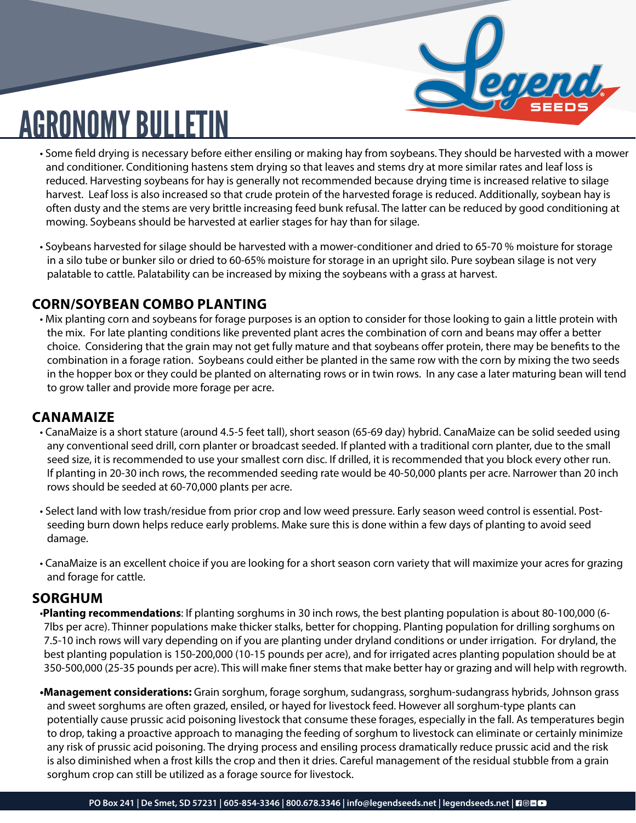

- Some field drying is necessary before either ensiling or making hay from soybeans. They should be harvested with a mower and conditioner. Conditioning hastens stem drying so that leaves and stems dry at more similar rates and leaf loss is reduced. Harvesting soybeans for hay is generally not recommended because drying time is increased relative to silage harvest. Leaf loss is also increased so that crude protein of the harvested forage is reduced. Additionally, soybean hay is often dusty and the stems are very brittle increasing feed bunk refusal. The latter can be reduced by good conditioning at mowing. Soybeans should be harvested at earlier stages for hay than for silage.
- Soybeans harvested for silage should be harvested with a mower-conditioner and dried to 65-70 % moisture for storage in a silo tube or bunker silo or dried to 60-65% moisture for storage in an upright silo. Pure soybean silage is not very palatable to cattle. Palatability can be increased by mixing the soybeans with a grass at harvest.

#### **CORN/SOYBEAN COMBO PLANTING**

• Mix planting corn and soybeans for forage purposes is an option to consider for those looking to gain a little protein with the mix. For late planting conditions like prevented plant acres the combination of corn and beans may offer a better choice. Considering that the grain may not get fully mature and that soybeans offer protein, there may be benefits to the combination in a forage ration. Soybeans could either be planted in the same row with the corn by mixing the two seeds in the hopper box or they could be planted on alternating rows or in twin rows. In any case a later maturing bean will tend to grow taller and provide more forage per acre.

#### **CANAMAIZE**

- CanaMaize is a short stature (around 4.5-5 feet tall), short season (65-69 day) hybrid. CanaMaize can be solid seeded using any conventional seed drill, corn planter or broadcast seeded. If planted with a traditional corn planter, due to the small seed size, it is recommended to use your smallest corn disc. If drilled, it is recommended that you block every other run. If planting in 20-30 inch rows, the recommended seeding rate would be 40-50,000 plants per acre. Narrower than 20 inch rows should be seeded at 60-70,000 plants per acre.
- Select land with low trash/residue from prior crop and low weed pressure. Early season weed control is essential. Post seeding burn down helps reduce early problems. Make sure this is done within a few days of planting to avoid seed damage.
- CanaMaize is an excellent choice if you are looking for a short season corn variety that will maximize your acres for grazing and forage for cattle.

#### **SORGHUM**

- •**Planting recommendations**: If planting sorghums in 30 inch rows, the best planting population is about 80-100,000 (6- 7lbs per acre). Thinner populations make thicker stalks, better for chopping. Planting population for drilling sorghums on 7.5-10 inch rows will vary depending on if you are planting under dryland conditions or under irrigation. For dryland, the best planting population is 150-200,000 (10-15 pounds per acre), and for irrigated acres planting population should be at 350-500,000 (25-35 pounds per acre). This will make finer stems that make better hay or grazing and will help with regrowth.
- **•Management considerations:** Grain sorghum, forage sorghum, sudangrass, sorghum-sudangrass hybrids, Johnson grass and sweet sorghums are often grazed, ensiled, or hayed for livestock feed. However all sorghum-type plants can potentially cause prussic acid poisoning livestock that consume these forages, especially in the fall. As temperatures begin to drop, taking a proactive approach to managing the feeding of sorghum to livestock can eliminate or certainly minimize any risk of prussic acid poisoning. The drying process and ensiling process dramatically reduce prussic acid and the risk is also diminished when a frost kills the crop and then it dries. Careful management of the residual stubble from a grain sorghum crop can still be utilized as a forage source for livestock.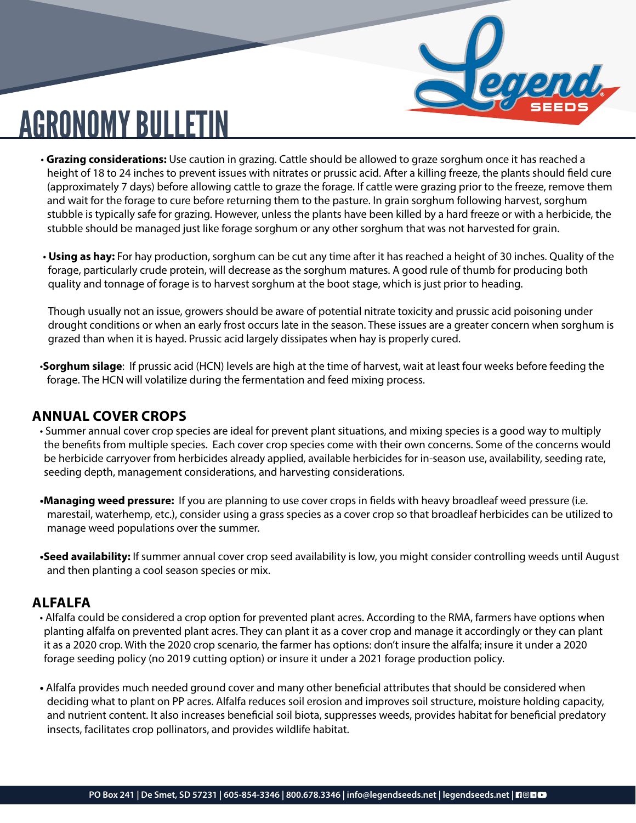

- **Grazing considerations:** Use caution in grazing. Cattle should be allowed to graze sorghum once it has reached a height of 18 to 24 inches to prevent issues with nitrates or prussic acid. After a killing freeze, the plants should field cure (approximately 7 days) before allowing cattle to graze the forage. If cattle were grazing prior to the freeze, remove them and wait for the forage to cure before returning them to the pasture. In grain sorghum following harvest, sorghum stubble is typically safe for grazing. However, unless the plants have been killed by a hard freeze or with a herbicide, the stubble should be managed just like forage sorghum or any other sorghum that was not harvested for grain.
- **Using as hay:** For hay production, sorghum can be cut any time after it has reached a height of 30 inches. Quality of the forage, particularly crude protein, will decrease as the sorghum matures. A good rule of thumb for producing both quality and tonnage of forage is to harvest sorghum at the boot stage, which is just prior to heading.

 Though usually not an issue, growers should be aware of potential nitrate toxicity and prussic acid poisoning under drought conditions or when an early frost occurs late in the season. These issues are a greater concern when sorghum is grazed than when it is hayed. Prussic acid largely dissipates when hay is properly cured.

•**Sorghum silage**: If prussic acid (HCN) levels are high at the time of harvest, wait at least four weeks before feeding the forage. The HCN will volatilize during the fermentation and feed mixing process.

#### **ANNUAL COVER CROPS**

- Summer annual cover crop species are ideal for prevent plant situations, and mixing species is a good way to multiply the benefits from multiple species. Each cover crop species come with their own concerns. Some of the concerns would be herbicide carryover from herbicides already applied, available herbicides for in-season use, availability, seeding rate, seeding depth, management considerations, and harvesting considerations.
- **•Managing weed pressure:** If you are planning to use cover crops in fields with heavy broadleaf weed pressure (i.e. marestail, waterhemp, etc.), consider using a grass species as a cover crop so that broadleaf herbicides can be utilized to manage weed populations over the summer.
- **•Seed availability:** If summer annual cover crop seed availability is low, you might consider controlling weeds until August and then planting a cool season species or mix.

#### **ALFALFA**

- Alfalfa could be considered a crop option for prevented plant acres. According to the RMA, farmers have options when planting alfalfa on prevented plant acres. They can plant it as a cover crop and manage it accordingly or they can plant it as a 2020 crop. With the 2020 crop scenario, the farmer has options: don't insure the alfalfa; insure it under a 2020 forage seeding policy (no 2019 cutting option) or insure it under a 2021 forage production policy.
- Alfalfa provides much needed ground cover and many other beneficial attributes that should be considered when deciding what to plant on PP acres. Alfalfa reduces soil erosion and improves soil structure, moisture holding capacity, and nutrient content. It also increases beneficial soil biota, suppresses weeds, provides habitat for beneficial predatory insects, facilitates crop pollinators, and provides wildlife habitat.